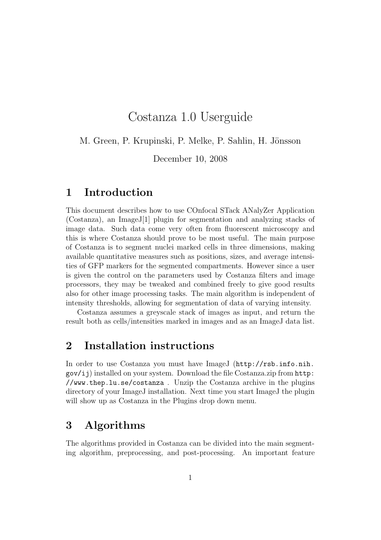# Costanza 1.0 Userguide

M. Green, P. Krupinski, P. Melke, P. Sahlin, H. Jönsson

December 10, 2008

## 1 Introduction

This document describes how to use COnfocal STack ANalyZer Application (Costanza), an ImageJ[1] plugin for segmentation and analyzing stacks of image data. Such data come very often from fluorescent microscopy and this is where Costanza should prove to be most useful. The main purpose of Costanza is to segment nuclei marked cells in three dimensions, making available quantitative measures such as positions, sizes, and average intensities of GFP markers for the segmented compartments. However since a user is given the control on the parameters used by Costanza filters and image processors, they may be tweaked and combined freely to give good results also for other image processing tasks. The main algorithm is independent of intensity thresholds, allowing for segmentation of data of varying intensity.

Costanza assumes a greyscale stack of images as input, and return the result both as cells/intensities marked in images and as an ImageJ data list.

## 2 Installation instructions

In order to use Costanza you must have ImageJ (http://rsb.info.nih. gov/ij) installed on your system. Download the file Costanza.zip from http: //www.thep.lu.se/costanza . Unzip the Costanza archive in the plugins directory of your ImageJ installation. Next time you start ImageJ the plugin will show up as Costanza in the Plugins drop down menu.

## 3 Algorithms

The algorithms provided in Costanza can be divided into the main segmenting algorithm, preprocessing, and post-processing. An important feature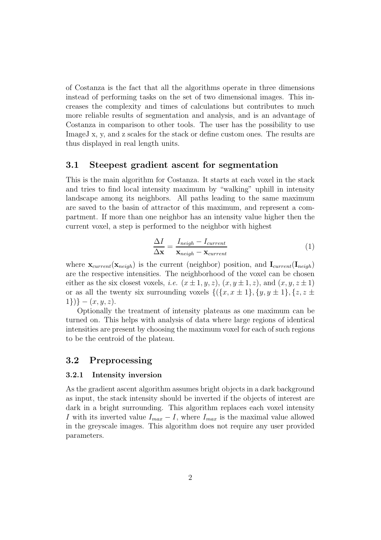of Costanza is the fact that all the algorithms operate in three dimensions instead of performing tasks on the set of two dimensional images. This increases the complexity and times of calculations but contributes to much more reliable results of segmentation and analysis, and is an advantage of Costanza in comparison to other tools. The user has the possibility to use ImageJ x, y, and z scales for the stack or define custom ones. The results are thus displayed in real length units.

### 3.1 Steepest gradient ascent for segmentation

This is the main algorithm for Costanza. It starts at each voxel in the stack and tries to find local intensity maximum by "walking" uphill in intensity landscape among its neighbors. All paths leading to the same maximum are saved to the basin of attractor of this maximum, and represent a compartment. If more than one neighbor has an intensity value higher then the current voxel, a step is performed to the neighbor with highest

$$
\frac{\Delta I}{\Delta \mathbf{x}} = \frac{I_{neigh} - I_{current}}{\mathbf{x}_{neigh} - \mathbf{x}_{current}} \tag{1}
$$

where  $\mathbf{x}_{current}(\mathbf{x}_{neich})$  is the current (neighbor) position, and  $\mathbf{I}_{current}(\mathbf{I}_{neich})$ are the respective intensities. The neighborhood of the voxel can be chosen either as the six closest voxels, *i.e.*  $(x \pm 1, y, z)$ ,  $(x, y \pm 1, z)$ , and  $(x, y, z \pm 1)$ or as all the twenty six surrounding voxels  $\{(\{x, x \pm 1\}, \{y, y \pm 1\}, \{z, z \pm 1\})\}$  $\{1\}\}\} - (x, y, z).$ 

Optionally the treatment of intensity plateaus as one maximum can be turned on. This helps with analysis of data where large regions of identical intensities are present by choosing the maximum voxel for each of such regions to be the centroid of the plateau.

### 3.2 Preprocessing

#### 3.2.1 Intensity inversion

As the gradient ascent algorithm assumes bright objects in a dark background as input, the stack intensity should be inverted if the objects of interest are dark in a bright surrounding. This algorithm replaces each voxel intensity I with its inverted value  $I_{max} - I$ , where  $I_{max}$  is the maximal value allowed in the greyscale images. This algorithm does not require any user provided parameters.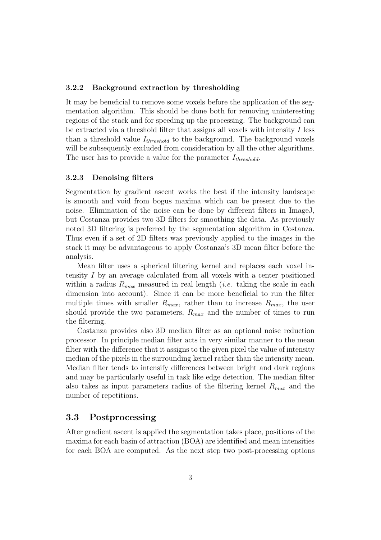### 3.2.2 Background extraction by thresholding

It may be beneficial to remove some voxels before the application of the segmentation algorithm. This should be done both for removing uninteresting regions of the stack and for speeding up the processing. The background can be extracted via a threshold filter that assigns all voxels with intensity I less than a threshold value  $I_{threshold}$  to the background. The background voxels will be subsequently excluded from consideration by all the other algorithms. The user has to provide a value for the parameter  $I_{threshold}$ .

#### 3.2.3 Denoising filters

Segmentation by gradient ascent works the best if the intensity landscape is smooth and void from bogus maxima which can be present due to the noise. Elimination of the noise can be done by different filters in ImageJ, but Costanza provides two 3D filters for smoothing the data. As previously noted 3D filtering is preferred by the segmentation algorithm in Costanza. Thus even if a set of 2D filters was previously applied to the images in the stack it may be advantageous to apply Costanza's 3D mean filter before the analysis.

Mean filter uses a spherical filtering kernel and replaces each voxel intensity I by an average calculated from all voxels with a center positioned within a radius  $R_{max}$  measured in real length *(i.e.* taking the scale in each dimension into account). Since it can be more beneficial to run the filter multiple times with smaller  $R_{max}$ , rather than to increase  $R_{max}$ , the user should provide the two parameters,  $R_{max}$  and the number of times to run the filtering.

Costanza provides also 3D median filter as an optional noise reduction processor. In principle median filter acts in very similar manner to the mean filter with the difference that it assigns to the given pixel the value of intensity median of the pixels in the surrounding kernel rather than the intensity mean. Median filter tends to intensify differences between bright and dark regions and may be particularly useful in task like edge detection. The median filter also takes as input parameters radius of the filtering kernel  $R_{max}$  and the number of repetitions.

### 3.3 Postprocessing

After gradient ascent is applied the segmentation takes place, positions of the maxima for each basin of attraction (BOA) are identified and mean intensities for each BOA are computed. As the next step two post-processing options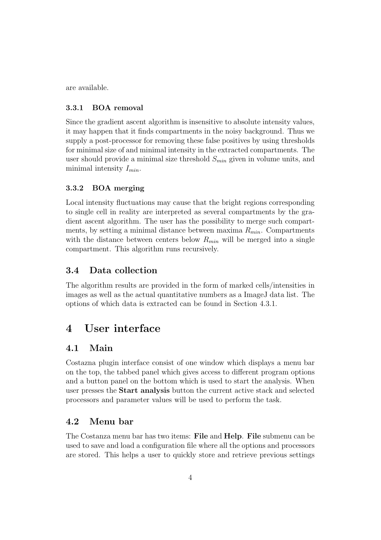are available.

### 3.3.1 BOA removal

Since the gradient ascent algorithm is insensitive to absolute intensity values, it may happen that it finds compartments in the noisy background. Thus we supply a post-processor for removing these false positives by using thresholds for minimal size of and minimal intensity in the extracted compartments. The user should provide a minimal size threshold  $S_{min}$  given in volume units, and minimal intensity  $I_{min}$ .

### 3.3.2 BOA merging

Local intensity fluctuations may cause that the bright regions corresponding to single cell in reality are interpreted as several compartments by the gradient ascent algorithm. The user has the possibility to merge such compartments, by setting a minimal distance between maxima  $R_{min}$ . Compartments with the distance between centers below  $R_{min}$  will be merged into a single compartment. This algorithm runs recursively.

### 3.4 Data collection

The algorithm results are provided in the form of marked cells/intensities in images as well as the actual quantitative numbers as a ImageJ data list. The options of which data is extracted can be found in Section 4.3.1.

### 4 User interface

### 4.1 Main

Costazna plugin interface consist of one window which displays a menu bar on the top, the tabbed panel which gives access to different program options and a button panel on the bottom which is used to start the analysis. When user presses the Start analysis button the current active stack and selected processors and parameter values will be used to perform the task.

### 4.2 Menu bar

The Costanza menu bar has two items: File and Help. File submenu can be used to save and load a configuration file where all the options and processors are stored. This helps a user to quickly store and retrieve previous settings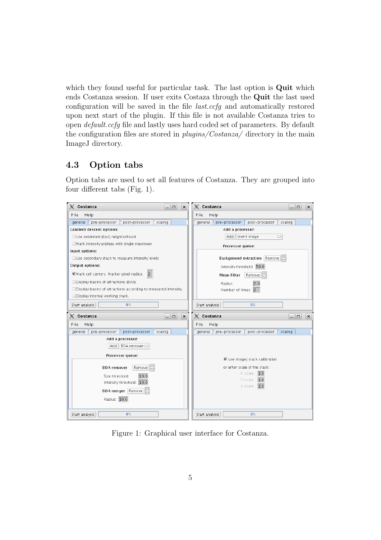which they found useful for particular task. The last option is **Quit** which ends Costanza session. If user exits Costaza through the Quit the last used configuration will be saved in the file last.ccfg and automatically restored upon next start of the plugin. If this file is not available Costanza tries to open default.ccfg file and lastly uses hard coded set of parameters. By default the configuration files are stored in  $plugins/Costanza/$  directory in the main ImageJ directory.

### 4.3 Option tabs

Option tabs are used to set all features of Costanza. They are grouped into four different tabs (Fig. 1).



Figure 1: Graphical user interface for Costanza.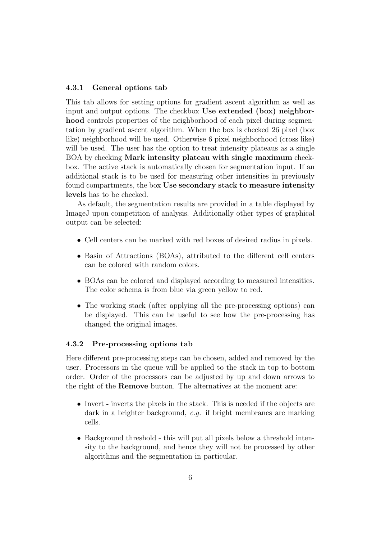### 4.3.1 General options tab

This tab allows for setting options for gradient ascent algorithm as well as input and output options. The checkbox Use extended (box) neighborhood controls properties of the neighborhood of each pixel during segmentation by gradient ascent algorithm. When the box is checked 26 pixel (box like) neighborhood will be used. Otherwise 6 pixel neighborhood (cross like) will be used. The user has the option to treat intensity plateaus as a single BOA by checking Mark intensity plateau with single maximum checkbox. The active stack is automatically chosen for segmentation input. If an additional stack is to be used for measuring other intensities in previously found compartments, the box Use secondary stack to measure intensity levels has to be checked.

As default, the segmentation results are provided in a table displayed by ImageJ upon competition of analysis. Additionally other types of graphical output can be selected:

- Cell centers can be marked with red boxes of desired radius in pixels.
- Basin of Attractions (BOAs), attributed to the different cell centers can be colored with random colors.
- BOAs can be colored and displayed according to measured intensities. The color schema is from blue via green yellow to red.
- The working stack (after applying all the pre-processing options) can be displayed. This can be useful to see how the pre-processing has changed the original images.

#### 4.3.2 Pre-processing options tab

Here different pre-processing steps can be chosen, added and removed by the user. Processors in the queue will be applied to the stack in top to bottom order. Order of the processors can be adjusted by up and down arrows to the right of the Remove button. The alternatives at the moment are:

- Invert inverts the pixels in the stack. This is needed if the objects are dark in a brighter background, e.g. if bright membranes are marking cells.
- Background threshold this will put all pixels below a threshold intensity to the background, and hence they will not be processed by other algorithms and the segmentation in particular.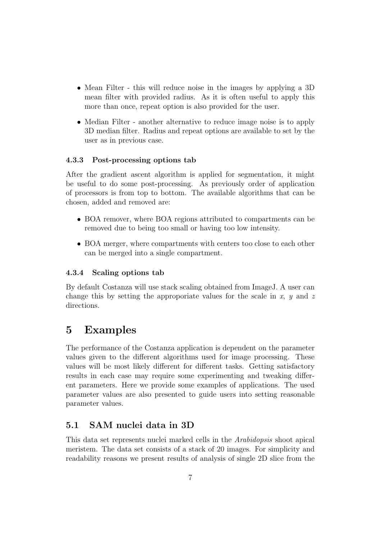- Mean Filter this will reduce noise in the images by applying a 3D mean filter with provided radius. As it is often useful to apply this more than once, repeat option is also provided for the user.
- Median Filter another alternative to reduce image noise is to apply 3D median filter. Radius and repeat options are available to set by the user as in previous case.

### 4.3.3 Post-processing options tab

After the gradient ascent algorithm is applied for segmentation, it might be useful to do some post-processing. As previously order of application of processors is from top to bottom. The available algorithms that can be chosen, added and removed are:

- BOA remover, where BOA regions attributed to compartments can be removed due to being too small or having too low intensity.
- BOA merger, where compartments with centers too close to each other can be merged into a single compartment.

### 4.3.4 Scaling options tab

By default Costanza will use stack scaling obtained from ImageJ. A user can change this by setting the approporiate values for the scale in x,  $\eta$  and z directions.

## 5 Examples

The performance of the Costanza application is dependent on the parameter values given to the different algorithms used for image processing. These values will be most likely different for different tasks. Getting satisfactory results in each case may require some experimenting and tweaking different parameters. Here we provide some examples of applications. The used parameter values are also presented to guide users into setting reasonable parameter values.

### 5.1 SAM nuclei data in 3D

This data set represents nuclei marked cells in the Arabidopsis shoot apical meristem. The data set consists of a stack of 20 images. For simplicity and readability reasons we present results of analysis of single 2D slice from the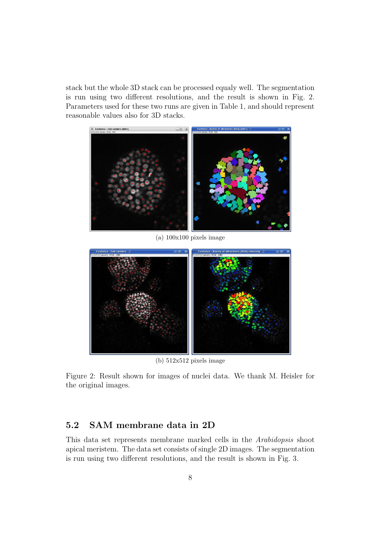stack but the whole 3D stack can be processed equaly well. The segmentation is run using two different resolutions, and the result is shown in Fig. 2. Parameters used for these two runs are given in Table 1, and should represent reasonable values also for 3D stacks.



(a) 100x100 pixels image



(b) 512x512 pixels image

Figure 2: Result shown for images of nuclei data. We thank M. Heisler for the original images.

### 5.2 SAM membrane data in 2D

This data set represents membrane marked cells in the Arabidopsis shoot apical meristem. The data set consists of single 2D images. The segmentation is run using two different resolutions, and the result is shown in Fig. 3.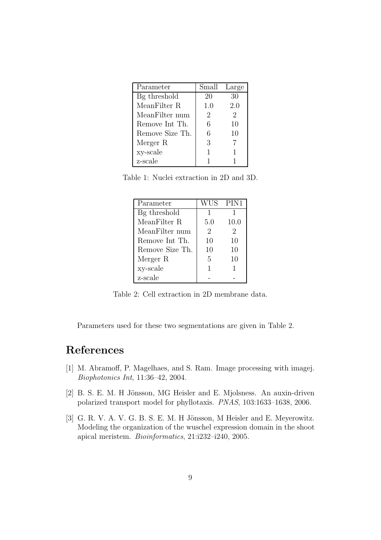| Parameter       | Small Large |     |
|-----------------|-------------|-----|
| Bg threshold    | 20          | 30  |
| MeanFilter R    | 1.0         | 2.0 |
| MeanFilter num  | 2           | 2   |
| Remove Int Th.  | 6           | 10  |
| Remove Size Th. | 6           | 10  |
| Merger R        | 3           |     |
| xy-scale        |             | 1   |
| z-scale         |             |     |

Table 1: Nuclei extraction in 2D and 3D.

| - Parameter     |                | WUS PIN1 |
|-----------------|----------------|----------|
| Bg threshold    | 1              |          |
| MeanFilter R    | 5.0            | 10.0     |
| MeanFilter num  | $\overline{2}$ | 2        |
| Remove Int Th.  | 10             | 10       |
| Remove Size Th. | 10             | 10       |
| Merger R        | 5              | 10       |
| xy-scale        |                |          |
| z-scale         |                |          |

Table 2: Cell extraction in 2D membrane data.

Parameters used for these two segmentations are given in Table 2.

# References

- [1] M. Abramoff, P. Magelhaes, and S. Ram. Image processing with imagej. Biophotonics Int, 11:36–42, 2004.
- [2] B. S. E. M. H Jönsson, MG Heisler and E. Mjolsness. An auxin-driven polarized transport model for phyllotaxis. PNAS, 103:1633–1638, 2006.
- [3] G. R. V. A. V. G. B. S. E. M. H Jönsson, M Heisler and E. Meyerowitz. Modeling the organization of the wuschel expression domain in the shoot apical meristem. Bioinformatics, 21:i232–i240, 2005.